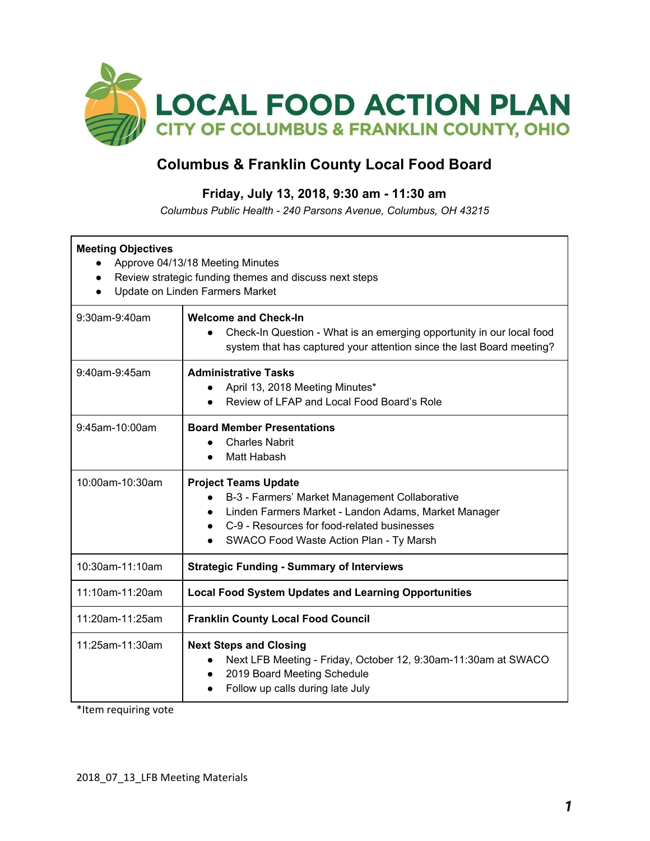

## **Columbus & Franklin County Local Food Board**

## **Friday, July 13, 2018, 9:30 am - 11:30 am**

*Columbus Public Health - 240 Parsons Avenue, Columbus, OH 43215*

| <b>Meeting Objectives</b><br>Approve 04/13/18 Meeting Minutes<br>Review strategic funding themes and discuss next steps<br>Update on Linden Farmers Market |                                                                                                                                                                                                                                                                        |  |  |
|------------------------------------------------------------------------------------------------------------------------------------------------------------|------------------------------------------------------------------------------------------------------------------------------------------------------------------------------------------------------------------------------------------------------------------------|--|--|
| 9:30am-9:40am                                                                                                                                              | <b>Welcome and Check-In</b><br>Check-In Question - What is an emerging opportunity in our local food<br>system that has captured your attention since the last Board meeting?                                                                                          |  |  |
| 9:40am-9:45am                                                                                                                                              | <b>Administrative Tasks</b><br>April 13, 2018 Meeting Minutes*<br>Review of LFAP and Local Food Board's Role                                                                                                                                                           |  |  |
| 9:45am-10:00am                                                                                                                                             | <b>Board Member Presentations</b><br><b>Charles Nabrit</b><br>Matt Habash                                                                                                                                                                                              |  |  |
| 10:00am-10:30am                                                                                                                                            | <b>Project Teams Update</b><br>B-3 - Farmers' Market Management Collaborative<br>Linden Farmers Market - Landon Adams, Market Manager<br>$\bullet$<br>C-9 - Resources for food-related businesses<br>$\bullet$<br>SWACO Food Waste Action Plan - Ty Marsh<br>$\bullet$ |  |  |
| 10:30am-11:10am                                                                                                                                            | <b>Strategic Funding - Summary of Interviews</b>                                                                                                                                                                                                                       |  |  |
| 11:10am-11:20am                                                                                                                                            | <b>Local Food System Updates and Learning Opportunities</b>                                                                                                                                                                                                            |  |  |
| 11:20am-11:25am                                                                                                                                            | <b>Franklin County Local Food Council</b>                                                                                                                                                                                                                              |  |  |
| 11:25am-11:30am                                                                                                                                            | <b>Next Steps and Closing</b><br>Next LFB Meeting - Friday, October 12, 9:30am-11:30am at SWACO<br>2019 Board Meeting Schedule<br>$\bullet$<br>Follow up calls during late July                                                                                        |  |  |

\*Item requiring vote